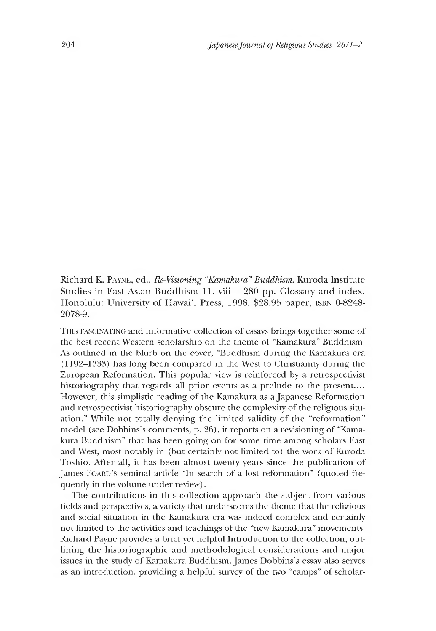Richard K. Payne, ed., *Re-Visioning "Kamakura" Buddhism*. Kuroda Institute Studies in East Asian Buddhism 11 .viii + 280 pp. Glossary and index. Honolulu: University of Hawai'i Press, 1998. \$28.95 paper, isbn 0-8248- 2078-9.

This fascinating and informative collection of essays brings together some of the best recent Western scholarship on the theme of "Kamakura" Buddhism. As outlined in the blurb on the cover, "Buddhism during the Kamakura era (1192-1333) has long been compared in the West to Christianity during the European Reformation. This popular view is reinforced by a retrospectivist historiography that regards all prior events as a prelude to the present.... However, this simplistic reading of the Kamakura as a Japanese Reformation and retrospectivist historiography obscure the complexity of the religious situation." While not totally denying the limited validity of the "reformation" model (see Dobbins's comments, p. 26), it reports on a revisioning of "Kamakura Buddhism" that has been going on for some time among scholars East and West, most notably in (but certainly not limited to) the work of Kuroda Toshio. After all, it has been almost twenty years since the publication of James FOARD's seminal article "In search of a lost reformation" (quoted frequently in the volume under review).

The contributions in this collection approach the subject from various fields and perspectives, a variety that underscores the theme that the religious and social situation in the Kamakura era was indeed complex and certainly not limited to the activities and teachings of the "new Kamakura" movements. Richard Payne provides a brief yet helpful Introduction to the collection, outlining the historiographic and methodological considerations and major issues in the study of Kamakura Buddhism. James Dobbins's essay also serves as an introduction, providing a helpful survey of the two "camps" of scholar